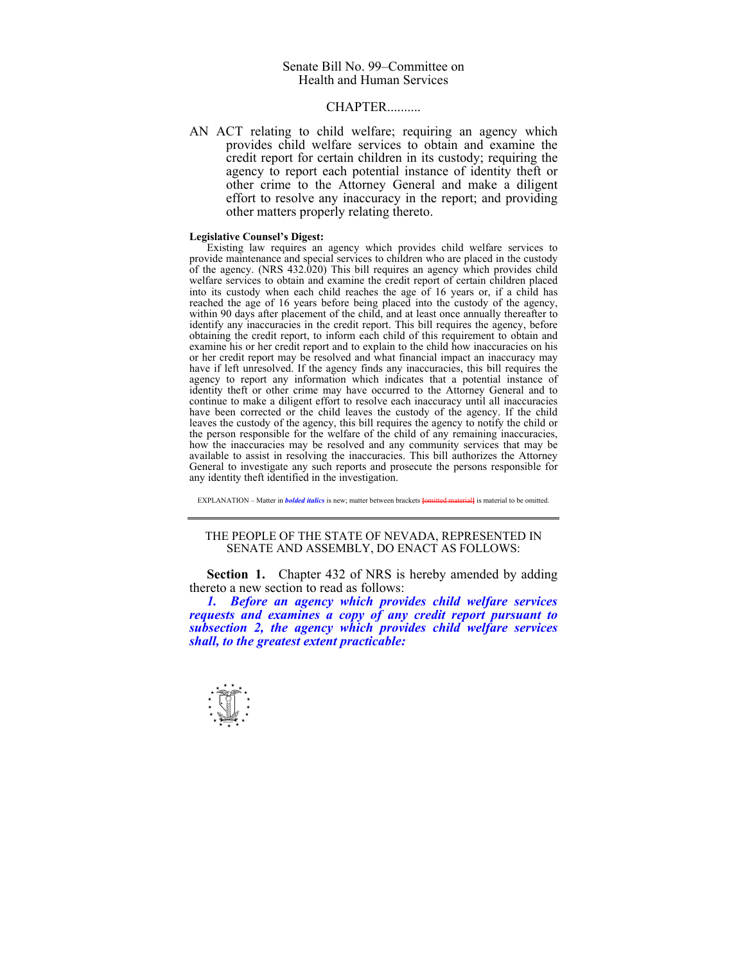## Senate Bill No. 99–Committee on Health and Human Services

## **CHAPTER**

AN ACT relating to child welfare; requiring an agency which provides child welfare services to obtain and examine the credit report for certain children in its custody; requiring the agency to report each potential instance of identity theft or other crime to the Attorney General and make a diligent effort to resolve any inaccuracy in the report; and providing other matters properly relating thereto.

## **Legislative Counsel's Digest:**

 Existing law requires an agency which provides child welfare services to provide maintenance and special services to children who are placed in the custody of the agency. (NRS 432.020) This bill requires an agency which provides child welfare services to obtain and examine the credit report of certain children placed into its custody when each child reaches the age of 16 years or, if a child has reached the age of 16 years before being placed into the custody of the agency, within 90 days after placement of the child, and at least once annually thereafter to identify any inaccuracies in the credit report. This bill requires the agency, before obtaining the credit report, to inform each child of this requirement to obtain and examine his or her credit report and to explain to the child how inaccuracies on his or her credit report may be resolved and what financial impact an inaccuracy may have if left unresolved. If the agency finds any inaccuracies, this bill requires the agency to report any information which indicates that a potential instance of identity theft or other crime may have occurred to the Attorney General and to continue to make a diligent effort to resolve each inaccuracy until all inaccuracies have been corrected or the child leaves the custody of the agency. If the child leaves the custody of the agency, this bill requires the agency to notify the child or the person responsible for the welfare of the child of any remaining inaccuracies, how the inaccuracies may be resolved and any community services that may be available to assist in resolving the inaccuracies. This bill authorizes the Attorney General to investigate any such reports and prosecute the persons responsible for any identity theft identified in the investigation.

EXPLANATION – Matter in *bolded italics* is new; matter between brackets **[**omitted material**]** is material to be omitted.

## THE PEOPLE OF THE STATE OF NEVADA, REPRESENTED IN SENATE AND ASSEMBLY, DO ENACT AS FOLLOWS:

**Section 1.** Chapter 432 of NRS is hereby amended by adding thereto a new section to read as follows:

 *1. Before an agency which provides child welfare services requests and examines a copy of any credit report pursuant to subsection 2, the agency which provides child welfare services shall, to the greatest extent practicable:* 

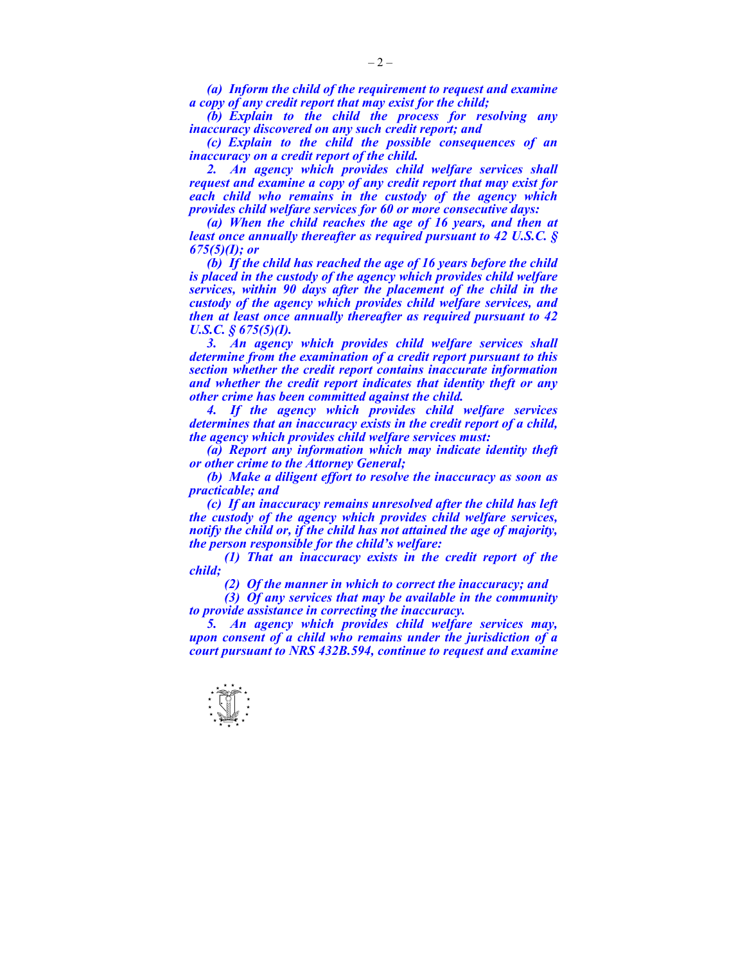*(a) Inform the child of the requirement to request and examine a copy of any credit report that may exist for the child;* 

 *(b) Explain to the child the process for resolving any inaccuracy discovered on any such credit report; and* 

 *(c) Explain to the child the possible consequences of an inaccuracy on a credit report of the child.* 

 *2. An agency which provides child welfare services shall request and examine a copy of any credit report that may exist for each child who remains in the custody of the agency which provides child welfare services for 60 or more consecutive days:* 

 *(a) When the child reaches the age of 16 years, and then at least once annually thereafter as required pursuant to 42 U.S.C. § 675(5)(I); or* 

 *(b) If the child has reached the age of 16 years before the child is placed in the custody of the agency which provides child welfare services, within 90 days after the placement of the child in the custody of the agency which provides child welfare services, and then at least once annually thereafter as required pursuant to 42 U.S.C. § 675(5)(I).* 

*3. An agency which provides child welfare services shall determine from the examination of a credit report pursuant to this section whether the credit report contains inaccurate information and whether the credit report indicates that identity theft or any other crime has been committed against the child.* 

 *4. If the agency which provides child welfare services determines that an inaccuracy exists in the credit report of a child, the agency which provides child welfare services must:* 

 *(a) Report any information which may indicate identity theft or other crime to the Attorney General;* 

 *(b) Make a diligent effort to resolve the inaccuracy as soon as practicable; and* 

 *(c) If an inaccuracy remains unresolved after the child has left the custody of the agency which provides child welfare services, notify the child or, if the child has not attained the age of majority, the person responsible for the child's welfare:* 

 *(1) That an inaccuracy exists in the credit report of the child;* 

 *(2) Of the manner in which to correct the inaccuracy; and* 

 *(3) Of any services that may be available in the community to provide assistance in correcting the inaccuracy.* 

 *5. An agency which provides child welfare services may, upon consent of a child who remains under the jurisdiction of a court pursuant to NRS 432B.594, continue to request and examine*